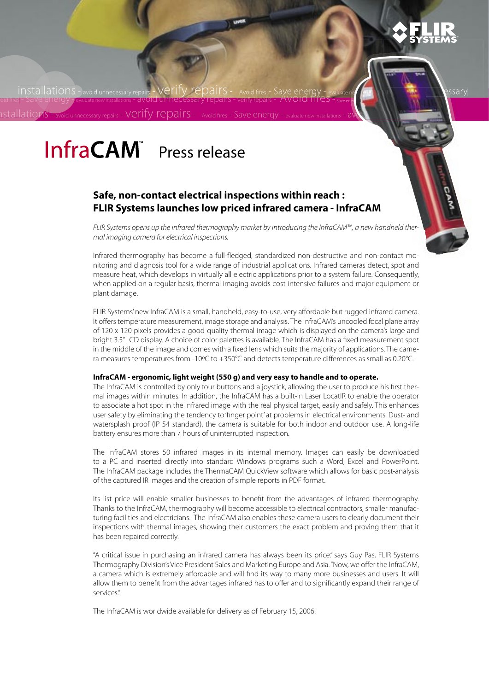

**installations** and avoid unnecessary

- evaluate new

Save energy evaluate new installations -  $a \sqrt{a}$ 

installations - avoid unnecessary repairs - Verify repairs - Avoid fires - Save energy - evaluate need that is<br>| oid fires - Save energy Jevaluate new installations - avoid unnecessary repairs - verify repairs - Avoid 111e s-verify repairs Avoid fires Dave Cricity<br>
verify repairs - AVOID fifes - Save energy - eva<br>irs - Avoid fires -

# InfraCAM Press release

 ${\rm 1stal}$ lations - avoid unnecessary repairs - Verify repairS - Avoid fires - Save energy - evaluate new installations

# **Safe, non-contact electrical inspections within reach : FLIR Systems launches low priced infrared camera - InfraCAM**

FLIR Systems opens up the infrared thermography market by introducing the InfraCAM™, a new handheld thermal imaging camera for electrical inspections.

Infrared thermography has become a full-fledged, standardized non-destructive and non-contact monitoring and diagnosis tool for a wide range of industrial applications. Infrared cameras detect, spot and measure heat, which develops in virtually all electric applications prior to a system failure. Consequently, when applied on a regular basis, thermal imaging avoids cost-intensive failures and major equipment or plant damage.

FLIR Systems' new InfraCAM is a small, handheld, easy-to-use, very affordable but rugged infrared camera. It offers temperature measurement, image storage and analysis. The InfraCAM's uncooled focal plane array of 120 x 120 pixels provides a good-quality thermal image which is displayed on the camera's large and bright 3.5" LCD display. A choice of color palettes is available. The InfraCAM has a fixed measurement spot in the middle of the image and comes with a fixed lens which suits the majority of applications. The camera measures temperatures from -10°C to +350°C and detects temperature differences as small as 0.20°C.

#### **InfraCAM - ergonomic, light weight (550 g) and very easy to handle and to operate.**

The InfraCAM is controlled by only four buttons and a joystick, allowing the user to produce his first thermal images within minutes. In addition, the InfraCAM has a built-in Laser LocatIR to enable the operator to associate a hot spot in the infrared image with the real physical target, easily and safely. This enhances user safety by eliminating the tendency to 'finger point' at problems in electrical environments. Dust- and watersplash proof (IP 54 standard), the camera is suitable for both indoor and outdoor use. A long-life battery ensures more than 7 hours of uninterrupted inspection.

The InfraCAM stores 50 infrared images in its internal memory. Images can easily be downloaded to a PC and inserted directly into standard Windows programs such a Word, Excel and PowerPoint. The InfraCAM package includes the ThermaCAM QuickView software which allows for basic post-analysis of the captured IR images and the creation of simple reports in PDF format.

Its list price will enable smaller businesses to benefit from the advantages of infrared thermography. Thanks to the InfraCAM, thermography will become accessible to electrical contractors, smaller manufacturing facilities and electricians. The InfraCAM also enables these camera users to clearly document their inspections with thermal images, showing their customers the exact problem and proving them that it has been repaired correctly.

"A critical issue in purchasing an infrared camera has always been its price." says Guy Pas, FLIR Systems Thermography Division's Vice President Sales and Marketing Europe and Asia. "Now, we offer the InfraCAM, a camera which is extremely affordable and will find its way to many more businesses and users. It will allow them to benefit from the advantages infrared has to offer and to significantly expand their range of services."

The InfraCAM is worldwide available for delivery as of February 15, 2006.